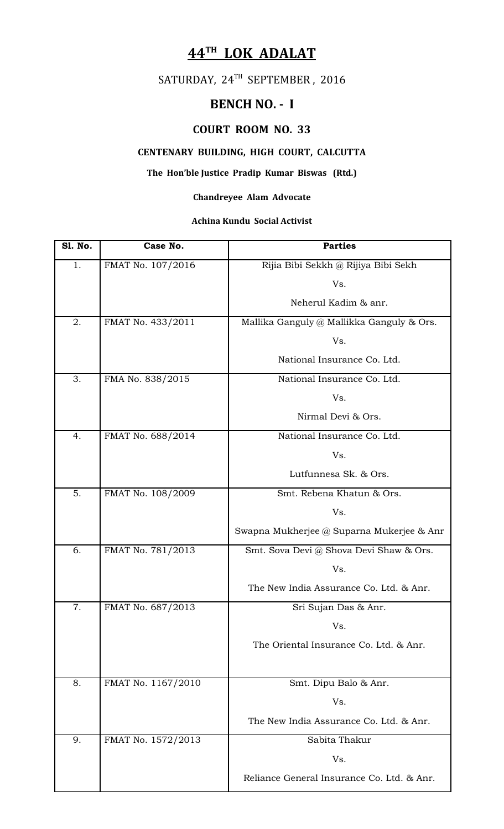# **44TH LOK ADALAT**

# SATURDAY, 24TH SEPTEMBER, 2016

## **BENCH NO. - I**

### **COURT ROOM NO. 33**

### **CENTENARY BUILDING, HIGH COURT, CALCUTTA**

### **The Hon'ble Justice Pradip Kumar Biswas (Rtd.)**

#### **Chandreyee Alam Advocate**

#### **Achina Kundu Social Activist**

| <b>S1. No.</b> | Case No.           | <b>Parties</b>                             |
|----------------|--------------------|--------------------------------------------|
| 1.             | FMAT No. 107/2016  | Rijia Bibi Sekkh @ Rijiya Bibi Sekh        |
|                |                    | Vs.                                        |
|                |                    | Neherul Kadim & anr.                       |
| 2.             | FMAT No. 433/2011  | Mallika Ganguly @ Mallikka Ganguly & Ors.  |
|                |                    | Vs.                                        |
|                |                    | National Insurance Co. Ltd.                |
| 3.             | FMA No. 838/2015   | National Insurance Co. Ltd.                |
|                |                    | Vs.                                        |
|                |                    | Nirmal Devi & Ors.                         |
| 4.             | FMAT No. 688/2014  | National Insurance Co. Ltd.                |
|                |                    | Vs.                                        |
|                |                    | Lutfunnesa Sk. & Ors.                      |
| 5.             | FMAT No. 108/2009  | Smt. Rebena Khatun & Ors.                  |
|                |                    | Vs.                                        |
|                |                    | Swapna Mukherjee @ Suparna Mukerjee & Anr  |
| 6.             | FMAT No. 781/2013  | Smt. Sova Devi @ Shova Devi Shaw & Ors.    |
|                |                    | Vs.                                        |
|                |                    | The New India Assurance Co. Ltd. & Anr.    |
| 7 <sub>1</sub> | FMAT No. 687/2013  | Sri Sujan Das & Anr.                       |
|                |                    | Vs.                                        |
|                |                    | The Oriental Insurance Co. Ltd. & Anr.     |
|                |                    |                                            |
| 8.             | FMAT No. 1167/2010 | Smt. Dipu Balo & Anr.                      |
|                |                    | Vs.                                        |
|                |                    | The New India Assurance Co. Ltd. & Anr.    |
| 9.             | FMAT No. 1572/2013 | Sabita Thakur                              |
|                |                    | Vs.                                        |
|                |                    | Reliance General Insurance Co. Ltd. & Anr. |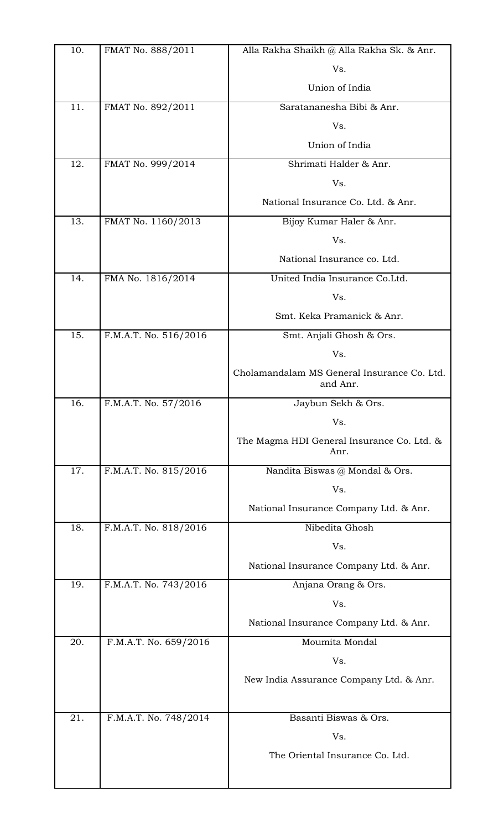| 10. | FMAT No. 888/2011     | Alla Rakha Shaikh @ Alla Rakha Sk. & Anr.               |
|-----|-----------------------|---------------------------------------------------------|
|     |                       | Vs.                                                     |
|     |                       | Union of India                                          |
| 11. | FMAT No. 892/2011     | Saratananesha Bibi & Anr.                               |
|     |                       | Vs.                                                     |
|     |                       | Union of India                                          |
| 12. | FMAT No. 999/2014     | Shrimati Halder & Anr.                                  |
|     |                       | Vs.                                                     |
|     |                       | National Insurance Co. Ltd. & Anr.                      |
| 13. | FMAT No. 1160/2013    | Bijoy Kumar Haler & Anr.                                |
|     |                       | Vs.                                                     |
|     |                       | National Insurance co. Ltd.                             |
| 14. | FMA No. 1816/2014     | United India Insurance Co.Ltd.                          |
|     |                       | Vs.                                                     |
|     |                       | Smt. Keka Pramanick & Anr.                              |
| 15. | F.M.A.T. No. 516/2016 | Smt. Anjali Ghosh & Ors.                                |
|     |                       | Vs.                                                     |
|     |                       | Cholamandalam MS General Insurance Co. Ltd.<br>and Anr. |
| 16. | F.M.A.T. No. 57/2016  | Jaybun Sekh & Ors.                                      |
|     |                       | Vs.                                                     |
|     |                       | The Magma HDI General Insurance Co. Ltd. &<br>Anr.      |
| 17. | F.M.A.T. No. 815/2016 | Nandita Biswas @ Mondal & Ors.                          |
|     |                       | Vs.                                                     |
|     |                       | National Insurance Company Ltd. & Anr.                  |
| 18. | F.M.A.T. No. 818/2016 | Nibedita Ghosh                                          |
|     |                       | Vs.                                                     |
|     |                       | National Insurance Company Ltd. & Anr.                  |
| 19. | F.M.A.T. No. 743/2016 | Anjana Orang & Ors.                                     |
|     |                       | Vs.                                                     |
|     |                       | National Insurance Company Ltd. & Anr.                  |
| 20. | F.M.A.T. No. 659/2016 | Moumita Mondal                                          |
|     |                       | Vs.                                                     |
|     |                       | New India Assurance Company Ltd. & Anr.                 |
| 21. | F.M.A.T. No. 748/2014 | Basanti Biswas & Ors.                                   |
|     |                       | Vs.                                                     |
|     |                       | The Oriental Insurance Co. Ltd.                         |
|     |                       |                                                         |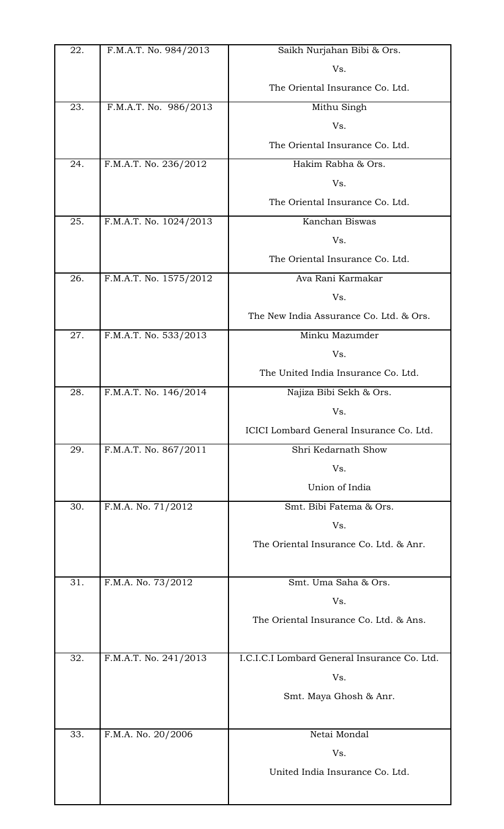| 22. | F.M.A.T. No. 984/2013  | Saikh Nurjahan Bibi & Ors.                   |
|-----|------------------------|----------------------------------------------|
|     |                        | Vs.                                          |
|     |                        | The Oriental Insurance Co. Ltd.              |
| 23. | F.M.A.T. No. 986/2013  | Mithu Singh                                  |
|     |                        | Vs.                                          |
|     |                        | The Oriental Insurance Co. Ltd.              |
| 24. | F.M.A.T. No. 236/2012  | Hakim Rabha & Ors.                           |
|     |                        | Vs.                                          |
|     |                        | The Oriental Insurance Co. Ltd.              |
| 25. | F.M.A.T. No. 1024/2013 | Kanchan Biswas                               |
|     |                        | Vs.                                          |
|     |                        | The Oriental Insurance Co. Ltd.              |
| 26. | F.M.A.T. No. 1575/2012 | Ava Rani Karmakar                            |
|     |                        | Vs.                                          |
|     |                        | The New India Assurance Co. Ltd. & Ors.      |
| 27. | F.M.A.T. No. 533/2013  | Minku Mazumder                               |
|     |                        | Vs.                                          |
|     |                        | The United India Insurance Co. Ltd.          |
| 28. | F.M.A.T. No. 146/2014  | Najiza Bibi Sekh & Ors.                      |
|     |                        | Vs.                                          |
|     |                        | ICICI Lombard General Insurance Co. Ltd.     |
| 29. | F.M.A.T. No. 867/2011  | Shri Kedarnath Show                          |
|     |                        | Vs.                                          |
|     |                        | Union of India                               |
| 30. | F.M.A. No. 71/2012     | Smt. Bibi Fatema & Ors.                      |
|     |                        | Vs.                                          |
|     |                        | The Oriental Insurance Co. Ltd. & Anr.       |
| 31. | F.M.A. No. 73/2012     | Smt. Uma Saha & Ors.                         |
|     |                        | Vs.                                          |
|     |                        | The Oriental Insurance Co. Ltd. & Ans.       |
|     |                        |                                              |
| 32. | F.M.A.T. No. 241/2013  | I.C.I.C.I Lombard General Insurance Co. Ltd. |
|     |                        | Vs.                                          |
|     |                        | Smt. Maya Ghosh & Anr.                       |
|     |                        |                                              |
| 33. | F.M.A. No. 20/2006     | Netai Mondal                                 |
|     |                        | Vs.                                          |
|     |                        | United India Insurance Co. Ltd.              |
|     |                        |                                              |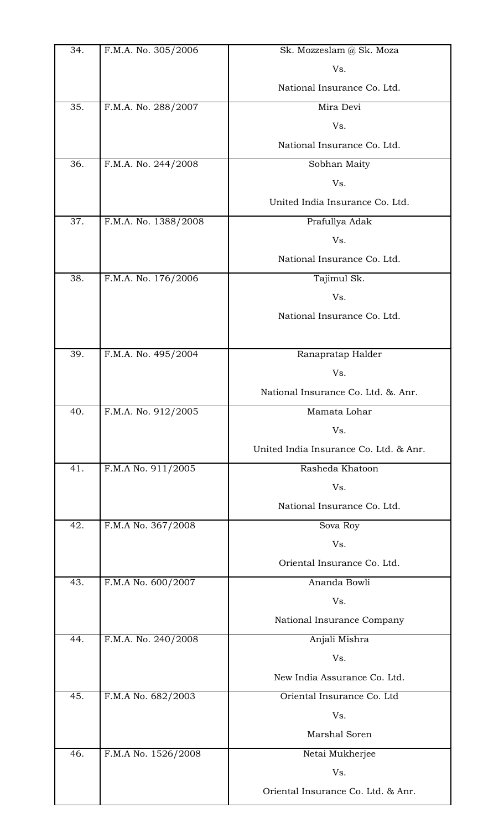| 34. | F.M.A. No. 305/2006  | Sk. Mozzeslam @ Sk. Moza               |
|-----|----------------------|----------------------------------------|
|     |                      | Vs.                                    |
|     |                      | National Insurance Co. Ltd.            |
| 35. | F.M.A. No. 288/2007  | Mira Devi                              |
|     |                      | Vs.                                    |
|     |                      | National Insurance Co. Ltd.            |
| 36. | F.M.A. No. 244/2008  | Sobhan Maity                           |
|     |                      | Vs.                                    |
|     |                      | United India Insurance Co. Ltd.        |
| 37. | F.M.A. No. 1388/2008 | Prafullya Adak                         |
|     |                      | Vs.                                    |
|     |                      | National Insurance Co. Ltd.            |
| 38. | F.M.A. No. 176/2006  | Tajimul Sk.                            |
|     |                      | Vs.                                    |
|     |                      | National Insurance Co. Ltd.            |
| 39. | F.M.A. No. 495/2004  | Ranapratap Halder                      |
|     |                      | Vs.                                    |
|     |                      | National Insurance Co. Ltd. & Anr.     |
| 40. | F.M.A. No. 912/2005  | Mamata Lohar                           |
|     |                      | Vs.                                    |
|     |                      | United India Insurance Co. Ltd. & Anr. |
| 41. | F.M.A No. 911/2005   | Rasheda Khatoon                        |
|     |                      | Vs.                                    |
|     |                      | National Insurance Co. Ltd.            |
| 42. | F.M.A No. 367/2008   | Sova Roy                               |
|     |                      | Vs.                                    |
|     |                      | Oriental Insurance Co. Ltd.            |
| 43. | F.M.A No. 600/2007   | Ananda Bowli                           |
|     |                      | Vs.                                    |
|     |                      | National Insurance Company             |
| 44. | F.M.A. No. 240/2008  | Anjali Mishra                          |
|     |                      | Vs.                                    |
|     |                      | New India Assurance Co. Ltd.           |
| 45. | F.M.A No. 682/2003   | Oriental Insurance Co. Ltd             |
|     |                      | Vs.                                    |
|     |                      | Marshal Soren                          |
| 46. | F.M.A No. 1526/2008  | Netai Mukherjee                        |
|     |                      | Vs.                                    |
|     |                      | Oriental Insurance Co. Ltd. & Anr.     |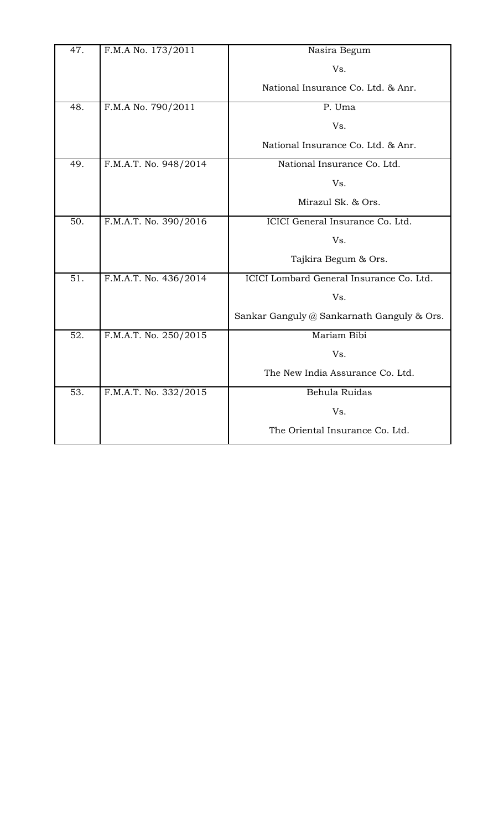| 47. | F.M.A No. 173/2011    | Nasira Begum                               |
|-----|-----------------------|--------------------------------------------|
|     |                       | Vs.                                        |
|     |                       | National Insurance Co. Ltd. & Anr.         |
| 48. | F.M.A No. 790/2011    | P. Uma                                     |
|     |                       | Vs.                                        |
|     |                       | National Insurance Co. Ltd. & Anr.         |
| 49. | F.M.A.T. No. 948/2014 | National Insurance Co. Ltd.                |
|     |                       | Vs.                                        |
|     |                       | Mirazul Sk. & Ors.                         |
| 50. | F.M.A.T. No. 390/2016 | ICICI General Insurance Co. Ltd.           |
|     |                       | Vs.                                        |
|     |                       | Tajkira Begum & Ors.                       |
| 51. | F.M.A.T. No. 436/2014 | ICICI Lombard General Insurance Co. Ltd.   |
|     |                       | Vs.                                        |
|     |                       | Sankar Ganguly @ Sankarnath Ganguly & Ors. |
| 52. | F.M.A.T. No. 250/2015 | Mariam Bibi                                |
|     |                       | Vs.                                        |
|     |                       | The New India Assurance Co. Ltd.           |
| 53. | F.M.A.T. No. 332/2015 | Behula Ruidas                              |
|     |                       | Vs.                                        |
|     |                       | The Oriental Insurance Co. Ltd.            |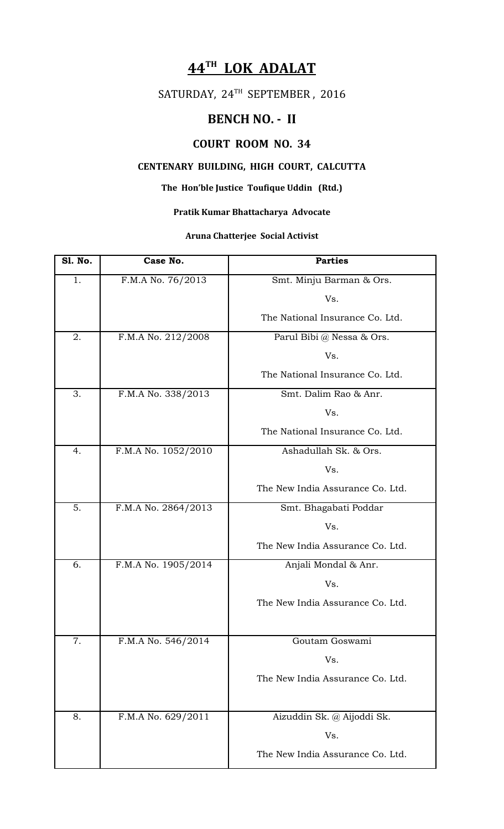## **44TH LOK ADALAT**

## SATURDAY, 24TH SEPTEMBER, 2016

### **BENCH NO. - II**

### **COURT ROOM NO. 34**

### **CENTENARY BUILDING, HIGH COURT, CALCUTTA**

#### **The Hon'ble Justice Toufique Uddin (Rtd.)**

### **Pratik Kumar Bhattacharya Advocate**

#### **Aruna Chatterjee Social Activist**

| <b>S1. No.</b> | Case No.            | <b>Parties</b>                   |
|----------------|---------------------|----------------------------------|
| 1.             | F.M.A No. 76/2013   | Smt. Minju Barman & Ors.         |
|                |                     | Vs.                              |
|                |                     | The National Insurance Co. Ltd.  |
| 2.             | F.M.A No. 212/2008  | Parul Bibi @ Nessa & Ors.        |
|                |                     | Vs.                              |
|                |                     | The National Insurance Co. Ltd.  |
| 3.             | F.M.A No. 338/2013  | Smt. Dalim Rao & Anr.            |
|                |                     | Vs.                              |
|                |                     | The National Insurance Co. Ltd.  |
| 4.             | F.M.A No. 1052/2010 | Ashadullah Sk. & Ors.            |
|                |                     | Vs.                              |
|                |                     | The New India Assurance Co. Ltd. |
| 5.             | F.M.A No. 2864/2013 | Smt. Bhagabati Poddar            |
|                |                     | Vs.                              |
|                |                     | The New India Assurance Co. Ltd. |
| 6.             | F.M.A No. 1905/2014 | Anjali Mondal & Anr.             |
|                |                     | Vs.                              |
|                |                     | The New India Assurance Co. Ltd. |
|                |                     |                                  |
| 7.             | F.M.A No. 546/2014  | Goutam Goswami                   |
|                |                     | Vs.                              |
|                |                     | The New India Assurance Co. Ltd. |
|                |                     |                                  |
| 8.             | F.M.A No. 629/2011  | Aizuddin Sk. @ Aijoddi Sk.       |
|                |                     | Vs.                              |
|                |                     | The New India Assurance Co. Ltd. |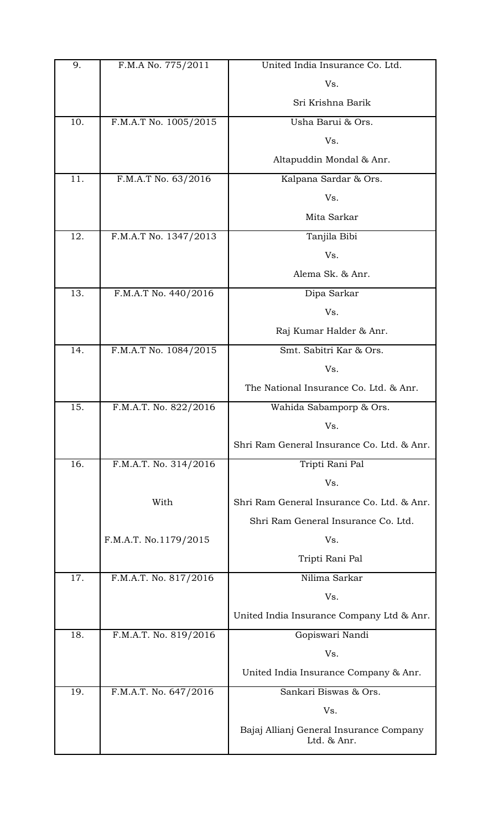| 9.  | F.M.A No. 775/2011    | United India Insurance Co. Ltd.                        |
|-----|-----------------------|--------------------------------------------------------|
|     |                       | Vs.                                                    |
|     |                       | Sri Krishna Barik                                      |
| 10. | F.M.A.T No. 1005/2015 | Usha Barui & Ors.                                      |
|     |                       | Vs.                                                    |
|     |                       | Altapuddin Mondal & Anr.                               |
| 11. | F.M.A.T No. 63/2016   | Kalpana Sardar & Ors.                                  |
|     |                       | Vs.                                                    |
|     |                       | Mita Sarkar                                            |
| 12. | F.M.A.T No. 1347/2013 | Tanjila Bibi                                           |
|     |                       | Vs.                                                    |
|     |                       | Alema Sk. & Anr.                                       |
| 13. | F.M.A.T No. 440/2016  | Dipa Sarkar                                            |
|     |                       | Vs.                                                    |
|     |                       | Raj Kumar Halder & Anr.                                |
| 14. | F.M.A.T No. 1084/2015 | Smt. Sabitri Kar & Ors.                                |
|     |                       | Vs.                                                    |
|     |                       | The National Insurance Co. Ltd. & Anr.                 |
| 15. | F.M.A.T. No. 822/2016 | Wahida Sabamporp & Ors.                                |
|     |                       | Vs.                                                    |
|     |                       | Shri Ram General Insurance Co. Ltd. & Anr.             |
| 16. | F.M.A.T. No. 314/2016 | Tripti Rani Pal                                        |
|     |                       | Vs.                                                    |
|     | With                  | Shri Ram General Insurance Co. Ltd. & Anr.             |
|     |                       | Shri Ram General Insurance Co. Ltd.                    |
|     | F.M.A.T. No.1179/2015 | Vs.                                                    |
|     |                       | Tripti Rani Pal                                        |
| 17. | F.M.A.T. No. 817/2016 | Nilima Sarkar                                          |
|     |                       | Vs.                                                    |
|     |                       | United India Insurance Company Ltd & Anr.              |
| 18. | F.M.A.T. No. 819/2016 | Gopiswari Nandi                                        |
|     |                       | Vs.                                                    |
|     |                       | United India Insurance Company & Anr.                  |
| 19. | F.M.A.T. No. 647/2016 | Sankari Biswas & Ors.                                  |
|     |                       | Vs.                                                    |
|     |                       | Bajaj Allianj General Insurance Company<br>Ltd. & Anr. |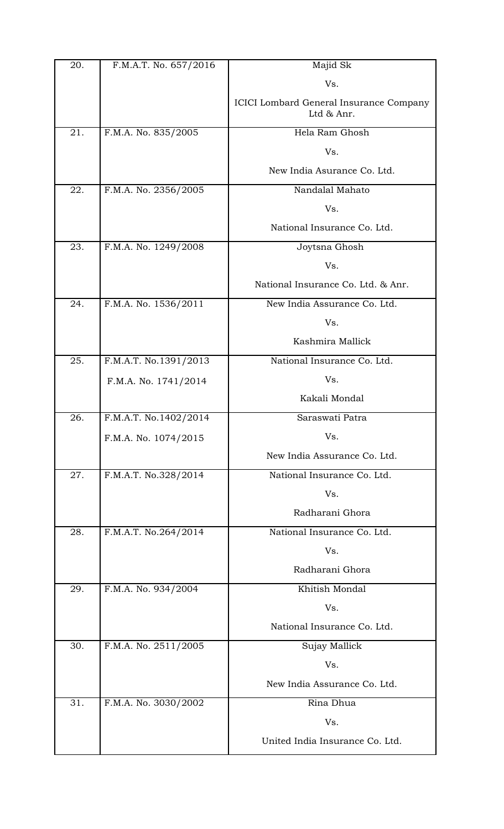| 20. | F.M.A.T. No. 657/2016 | Majid Sk                                              |
|-----|-----------------------|-------------------------------------------------------|
|     |                       | Vs.                                                   |
|     |                       | ICICI Lombard General Insurance Company<br>Ltd & Anr. |
| 21. | F.M.A. No. 835/2005   | Hela Ram Ghosh                                        |
|     |                       | Vs.                                                   |
|     |                       | New India Asurance Co. Ltd.                           |
| 22. | F.M.A. No. 2356/2005  | Nandalal Mahato                                       |
|     |                       | Vs.                                                   |
|     |                       | National Insurance Co. Ltd.                           |
| 23. | F.M.A. No. 1249/2008  | Joytsna Ghosh                                         |
|     |                       | Vs.                                                   |
|     |                       | National Insurance Co. Ltd. & Anr.                    |
| 24. | F.M.A. No. 1536/2011  | New India Assurance Co. Ltd.                          |
|     |                       | Vs.                                                   |
|     |                       | Kashmira Mallick                                      |
| 25. | F.M.A.T. No.1391/2013 | National Insurance Co. Ltd.                           |
|     | F.M.A. No. 1741/2014  | Vs.                                                   |
|     |                       | Kakali Mondal                                         |
| 26. | F.M.A.T. No.1402/2014 | Saraswati Patra                                       |
|     | F.M.A. No. 1074/2015  | Vs.                                                   |
|     |                       | New India Assurance Co. Ltd.                          |
| 27. | F.M.A.T. No.328/2014  | National Insurance Co. Ltd.                           |
|     |                       | Vs.                                                   |
|     |                       | Radharani Ghora                                       |
| 28. | F.M.A.T. No.264/2014  | National Insurance Co. Ltd.                           |
|     |                       | Vs.                                                   |
|     |                       | Radharani Ghora                                       |
| 29. | F.M.A. No. 934/2004   | Khitish Mondal                                        |
|     |                       | Vs.                                                   |
|     |                       | National Insurance Co. Ltd.                           |
| 30. | F.M.A. No. 2511/2005  | Sujay Mallick                                         |
|     |                       | Vs.                                                   |
|     |                       | New India Assurance Co. Ltd.                          |
| 31. | F.M.A. No. 3030/2002  | Rina Dhua                                             |
|     |                       | Vs.                                                   |
|     |                       | United India Insurance Co. Ltd.                       |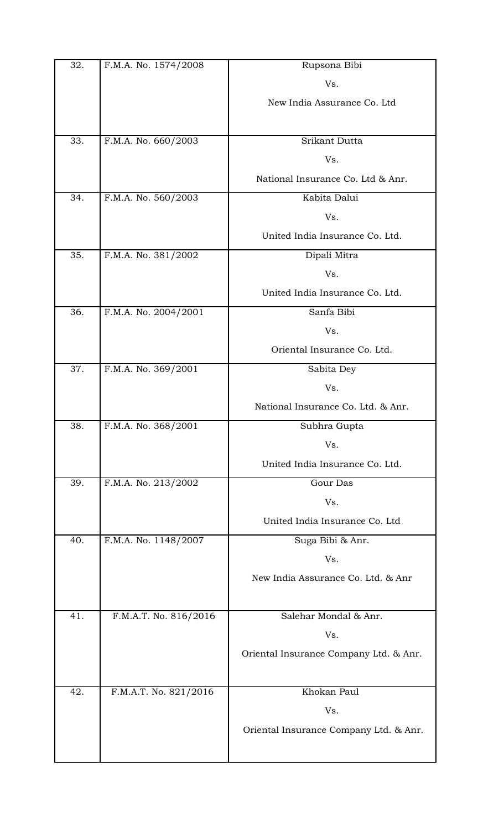| 32. | F.M.A. No. 1574/2008  | Rupsona Bibi                           |
|-----|-----------------------|----------------------------------------|
|     |                       | Vs.                                    |
|     |                       | New India Assurance Co. Ltd            |
| 33. | F.M.A. No. 660/2003   | Srikant Dutta                          |
|     |                       | Vs.                                    |
|     |                       | National Insurance Co. Ltd & Anr.      |
| 34. | F.M.A. No. 560/2003   | Kabita Dalui                           |
|     |                       | Vs.                                    |
|     |                       | United India Insurance Co. Ltd.        |
| 35. | F.M.A. No. 381/2002   | Dipali Mitra                           |
|     |                       | Vs.                                    |
|     |                       | United India Insurance Co. Ltd.        |
| 36. | F.M.A. No. 2004/2001  | Sanfa Bibi                             |
|     |                       | Vs.                                    |
|     |                       | Oriental Insurance Co. Ltd.            |
| 37. | F.M.A. No. 369/2001   | Sabita Dey                             |
|     |                       | Vs.                                    |
|     |                       | National Insurance Co. Ltd. & Anr.     |
| 38. | F.M.A. No. 368/2001   | Subhra Gupta                           |
|     |                       | Vs.                                    |
|     |                       | United India Insurance Co. Ltd.        |
| 39. | F.M.A. No. 213/2002   | Gour Das                               |
|     |                       | Vs.                                    |
|     |                       | United India Insurance Co. Ltd         |
| 40. | F.M.A. No. 1148/2007  | Suga Bibi & Anr.                       |
|     |                       | Vs.                                    |
|     |                       | New India Assurance Co. Ltd. & Anr     |
|     |                       |                                        |
| 41. | F.M.A.T. No. 816/2016 | Salehar Mondal & Anr.                  |
|     |                       | Vs.                                    |
|     |                       | Oriental Insurance Company Ltd. & Anr. |
| 42. | F.M.A.T. No. 821/2016 | Khokan Paul                            |
|     |                       | Vs.                                    |
|     |                       | Oriental Insurance Company Ltd. & Anr. |
|     |                       |                                        |